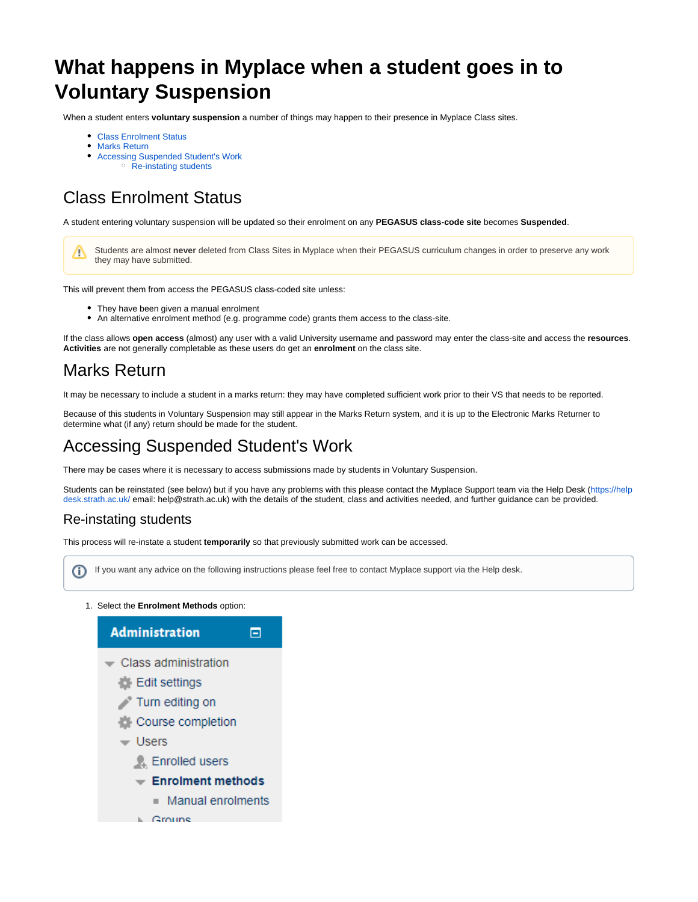# **What happens in Myplace when a student goes in to Voluntary Suspension**

When a student enters **voluntary suspension** a number of things may happen to their presence in Myplace Class sites.

- [Class Enrolment Status](#page-0-0)
- [Marks Return](#page-0-1)
- $\bullet$ [Accessing Suspended Student's Work](#page-0-2)
	- <sup>o</sup> [Re-instating students](#page-0-3)

## <span id="page-0-0"></span>Class Enrolment Status

A student entering voluntary suspension will be updated so their enrolment on any **PEGASUS class-code site** becomes **Suspended**.

Students are almost **never** deleted from Class Sites in Myplace when their PEGASUS curriculum changes in order to preserve any work Δ they may have submitted.

This will prevent them from access the PEGASUS class-coded site unless:

- They have been given a manual enrolment
- An alternative enrolment method (e.g. programme code) grants them access to the class-site.

If the class allows **open access** (almost) any user with a valid University username and password may enter the class-site and access the **resources**. **Activities** are not generally completable as these users do get an **enrolment** on the class site.

### <span id="page-0-1"></span>Marks Return

It may be necessary to include a student in a marks return: they may have completed sufficient work prior to their VS that needs to be reported.

Because of this students in Voluntary Suspension may still appear in the Marks Return system, and it is up to the Electronic Marks Returner to determine what (if any) return should be made for the student.

### <span id="page-0-2"></span>Accessing Suspended Student's Work

There may be cases where it is necessary to access submissions made by students in Voluntary Suspension.

Students can be reinstated (see below) but if you have any problems with this please contact the Myplace Support team via the Help Desk [\(https://help](https://helpdesk.strath.ac.uk/) [desk.strath.ac.uk/](https://helpdesk.strath.ac.uk/) email: help@strath.ac.uk) with the details of the student, class and activities needed, and further guidance can be provided.

#### <span id="page-0-3"></span>Re-instating students

This process will re-instate a student **temporarily** so that previously submitted work can be accessed.

If you want any advice on the following instructions please feel free to contact Myplace support via the Help desk.(i)

1. Select the **Enrolment Methods** option: